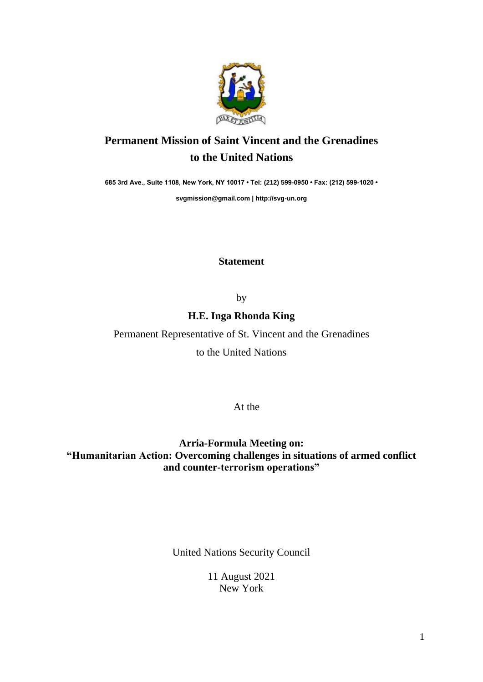

## **Permanent Mission of Saint Vincent and the Grenadines to the United Nations**

**685 3rd Ave., Suite 1108, New York, NY 10017 • Tel: (212) 599-0950 • Fax: (212) 599-1020 •** 

**[svgmission@gmail.com](mailto:svgmission@gmail.com) | [http://svg-un.org](http://svg-un.org/)**

**Statement**

by

## **H.E. Inga Rhonda King**

Permanent Representative of St. Vincent and the Grenadines

to the United Nations

At the

**Arria-Formula Meeting on: "Humanitarian Action: Overcoming challenges in situations of armed conflict and counter-terrorism operations"**

United Nations Security Council

11 August 2021 New York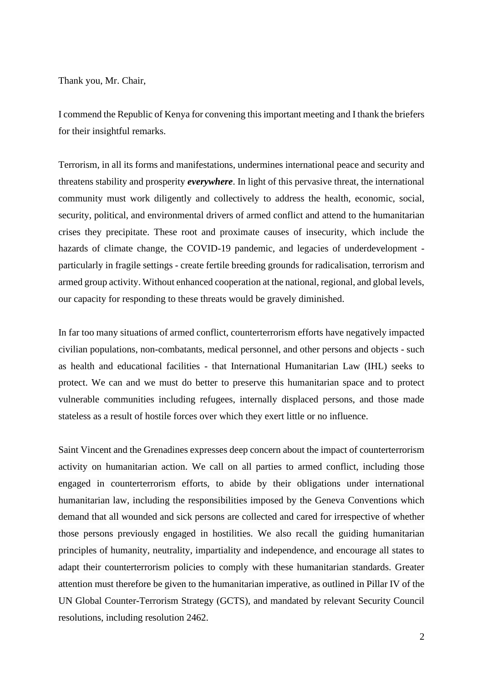Thank you, Mr. Chair,

I commend the Republic of Kenya for convening this important meeting and I thank the briefers for their insightful remarks.

Terrorism, in all its forms and manifestations, undermines international peace and security and threatens stability and prosperity *everywhere*. In light of this pervasive threat, the international community must work diligently and collectively to address the health, economic, social, security, political, and environmental drivers of armed conflict and attend to the humanitarian crises they precipitate. These root and proximate causes of insecurity, which include the hazards of climate change, the COVID-19 pandemic, and legacies of underdevelopment particularly in fragile settings - create fertile breeding grounds for radicalisation, terrorism and armed group activity. Without enhanced cooperation at the national, regional, and global levels, our capacity for responding to these threats would be gravely diminished.

In far too many situations of armed conflict, counterterrorism efforts have negatively impacted civilian populations, non-combatants, medical personnel, and other persons and objects - such as health and educational facilities - that International Humanitarian Law (IHL) seeks to protect. We can and we must do better to preserve this humanitarian space and to protect vulnerable communities including refugees, internally displaced persons, and those made stateless as a result of hostile forces over which they exert little or no influence.

Saint Vincent and the Grenadines expresses deep concern about the impact of counterterrorism activity on humanitarian action. We call on all parties to armed conflict, including those engaged in counterterrorism efforts, to abide by their obligations under international humanitarian law, including the responsibilities imposed by the Geneva Conventions which demand that all wounded and sick persons are collected and cared for irrespective of whether those persons previously engaged in hostilities. We also recall the guiding humanitarian principles of humanity, neutrality, impartiality and independence, and encourage all states to adapt their counterterrorism policies to comply with these humanitarian standards. Greater attention must therefore be given to the humanitarian imperative, as outlined in Pillar IV of the UN Global Counter-Terrorism Strategy (GCTS), and mandated by relevant Security Council resolutions, including resolution 2462.